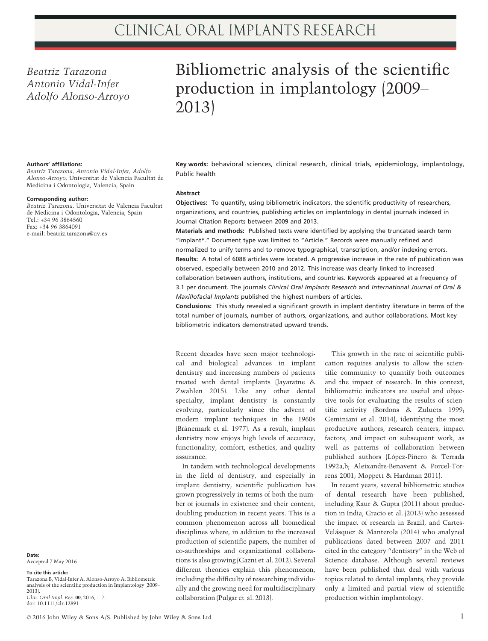# Beatriz Tarazona Antonio Vidal-Infer Adolfo Alonso-Arroyo

# Bibliometric analysis of the scientific production in implantology (2009– 2013)

#### Authors' affiliations:

Beatriz Tarazona, Antonio Vidal-Infer, Adolfo Alonso-Arroyo, Universitat de Valencia Facultat de Medicina i Odontologia, Valencia, Spain

#### Corresponding author:

Beatriz Tarazona, Universitat de Valencia Facultat de Medicina i Odontologia, Valencia, Spain Tel.: +34 96 3864560 Fax: +34 96 3864091 e-mail: beatriz.tarazona@uv.es

Key words: behavioral sciences, clinical research, clinical trials, epidemiology, implantology, Public health

#### **Abstract**

Objectives: To quantify, using bibliometric indicators, the scientific productivity of researchers, organizations, and countries, publishing articles on implantology in dental journals indexed in Journal Citation Reports between 2009 and 2013.

Materials and methods: Published texts were identified by applying the truncated search term "implant\*." Document type was limited to "Article." Records were manually refined and normalized to unify terms and to remove typographical, transcription, and/or indexing errors. Results: A total of 6088 articles were located. A progressive increase in the rate of publication was observed, especially between 2010 and 2012. This increase was clearly linked to increased collaboration between authors, institutions, and countries. Keywords appeared at a frequency of 3.1 per document. The journals Clinical Oral Implants Research and International Journal of Oral & Maxillofacial Implants published the highest numbers of articles.

Conclusions: This study revealed a significant growth in implant dentistry literature in terms of the total number of journals, number of authors, organizations, and author collaborations. Most key bibliometric indicators demonstrated upward trends.

Recent decades have seen major technological and biological advances in implant dentistry and increasing numbers of patients treated with dental implants (Jayaratne & Zwahlen 2015). Like any other dental specialty, implant dentistry is constantly evolving, particularly since the advent of modern implant techniques in the 1960s (Brånemark et al. 1977). As a result, implant dentistry now enjoys high levels of accuracy, functionality, comfort, esthetics, and quality assurance.

In tandem with technological developments in the field of dentistry, and especially in implant dentistry, scientific publication has grown progressively in terms of both the number of journals in existence and their content, doubling production in recent years. This is a common phenomenon across all biomedical disciplines where, in addition to the increased production of scientific papers, the number of co-authorships and organizational collaborations is also growing (Gazni et al. 2012). Several different theories explain this phenomenon, including the difficulty of researching individually and the growing need for multidisciplinary collaboration (Pulgar et al. 2013).

This growth in the rate of scientific publication requires analysis to allow the scientific community to quantify both outcomes and the impact of research. In this context, bibliometric indicators are useful and objective tools for evaluating the results of scientific activity (Bordons & Zulueta 1999; Geminiani et al. 2014), identifying the most productive authors, research centers, impact factors, and impact on subsequent work, as well as patterns of collaboration between published authors (López-Piñero & Terrada 1992a,b; Aleixandre-Benavent & Porcel-Torrens 2001; Moppett & Hardman 2011).

In recent years, several bibliometric studies of dental research have been published, including Kaur & Gupta (2011) about production in India, Gracio et al. (2013) who assessed the impact of research in Brazil, and Cartes-Velásquez & Manterola (2014) who analyzed publications dated between 2007 and 2011 cited in the category "dentistry" in the Web of Science database. Although several reviews have been published that deal with various topics related to dental implants, they provide only a limited and partial view of scientific production within implantology.

Date: Accepted 7 May 2016

#### To cite this article:

Tarazona B, Vidal-Infer A, Alonso-Arroyo A. Bibliometric analysis of the scientific production in Implantology (2009– 2013). Clin. Oral Impl. Res. 00, 2016, 1–7. doi: 10.1111/clr.12891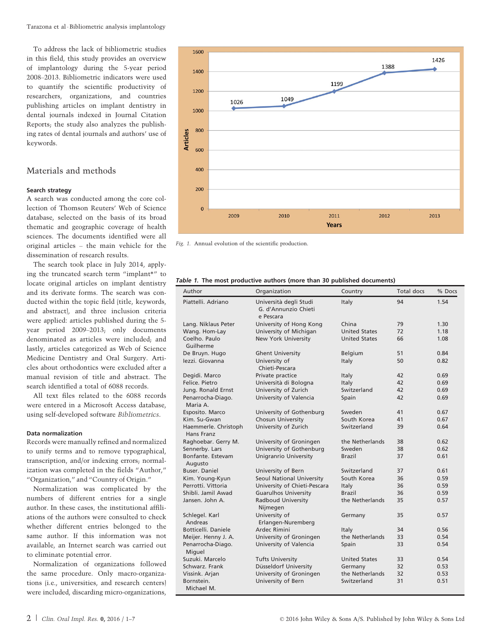To address the lack of bibliometric studies in this field, this study provides an overview of implantology during the 5-year period 2008–2013. Bibliometric indicators were used to quantify the scientific productivity of researchers, organizations, and countries publishing articles on implant dentistry in dental journals indexed in Journal Citation Reports; the study also analyzes the publishing rates of dental journals and authors' use of keywords.

# Materials and methods

#### Search strategy

A search was conducted among the core collection of Thomson Reuters' Web of Science database, selected on the basis of its broad thematic and geographic coverage of health sciences. The documents identified were all original articles – the main vehicle for the dissemination of research results.

The search took place in July 2014, applying the truncated search term "implant\*" to locate original articles on implant dentistry and its derivate forms. The search was conducted within the topic field (title, keywords, and abstract), and three inclusion criteria were applied: articles published during the 5 year period 2009–2013; only documents denominated as articles were included; and lastly, articles categorized as Web of Science Medicine Dentistry and Oral Surgery. Articles about orthodontics were excluded after a manual revision of title and abstract. The search identified a total of 6088 records.

All text files related to the 6088 records were entered in a Microsoft Access database, using self-developed software Bibliometrics.

#### Data normalization

Records were manually refined and normalized to unify terms and to remove typographical, transcription, and/or indexing errors; normalization was completed in the fields "Author," "Organization," and "Country of Origin."

Normalization was complicated by the numbers of different entries for a single author. In these cases, the institutional affiliations of the authors were consulted to check whether different entries belonged to the same author. If this information was not available, an Internet search was carried out to eliminate potential error.

Normalization of organizations followed the same procedure. Only macro-organizations (i.e., universities, and research centers) were included, discarding micro-organizations,



Fig. 1. Annual evolution of the scientific production.

| Author                             | Organization                                                | Country              | Total docs | % Docs |
|------------------------------------|-------------------------------------------------------------|----------------------|------------|--------|
| Piattelli, Adriano                 | Università degli Studi<br>G. d'Annunzio Chieti<br>e Pescara | Italy                | 94         | 1.54   |
| Lang. Niklaus Peter                | University of Hong Kong                                     | China                | 79         | 1.30   |
| Wang. Hom-Lay                      | University of Michigan                                      | <b>United States</b> | 72         | 1.18   |
| Coelho. Paulo<br>Guilherme         | New York University                                         | <b>United States</b> | 66         | 1.08   |
| De Bruyn. Hugo                     | <b>Ghent University</b>                                     | Belgium              | 51         | 0.84   |
| lezzi. Giovanna                    | University of<br>Chieti-Pescara                             | Italy                | 50         | 0.82   |
| Degidi. Marco                      | Private practice                                            | Italy                | 42         | 0.69   |
| Felice, Pietro                     | Università di Bologna                                       | Italy                | 42         | 0.69   |
| Jung. Ronald Ernst                 | University of Zurich                                        | Switzerland          | 42         | 0.69   |
| Penarrocha-Diago.<br>Maria A.      | University of Valencia                                      | Spain                | 42         | 0.69   |
| Esposito, Marco                    | University of Gothenburg                                    | Sweden               | 41         | 0.67   |
| Kim. Su-Gwan                       | Chosun University                                           | South Korea          | 41         | 0.67   |
| Haemmerle. Christoph<br>Hans Franz | University of Zurich                                        | Switzerland          | 39         | 0.64   |
| Raghoebar. Gerry M.                | University of Groningen                                     | the Netherlands      | 38         | 0.62   |
| Sennerby. Lars                     | University of Gothenburg                                    | Sweden               | 38         | 0.62   |
| Bonfante. Estevam<br>Augusto       | <b>Unigranrio University</b>                                | <b>Brazil</b>        | 37         | 0.61   |
| Buser. Daniel                      | University of Bern                                          | Switzerland          | 37         | 0.61   |
| Kim. Young-Kyun                    | Seoul National University                                   | South Korea          | 36         | 0.59   |
| Perrotti, Vittoria                 | University of Chieti-Pescara                                | Italy                | 36         | 0.59   |
| Shibli, Jamil Awad                 | <b>Guarulhos University</b>                                 | <b>Brazil</b>        | 36         | 0.59   |
| Jansen, John A.                    | Radboud University<br>Nijmegen                              | the Netherlands      | 35         | 0.57   |
| Schlegel. Karl                     | University of                                               | Germany              | 35         | 0.57   |
| Andreas                            | Erlangen-Nuremberg                                          |                      |            |        |
| Botticelli, Daniele                | Ardec Rimini                                                | Italy                | 34         | 0.56   |
| Meijer. Henny J. A.                | University of Groningen                                     | the Netherlands      | 33         | 0.54   |
| Penarrocha-Diago.<br>Miguel        | University of Valencia                                      | Spain                | 33         | 0.54   |
| Suzuki, Marcelo                    | <b>Tufts University</b>                                     | <b>United States</b> | 33         | 0.54   |
| Schwarz, Frank                     | Düsseldorf University                                       | Germany              | 32         | 0.53   |
| Vissink. Arjan                     | University of Groningen                                     | the Netherlands      | 32         | 0.53   |
| Bornstein.                         | University of Bern                                          | Switzerland          | 31         | 0.51   |
| Michael M.                         |                                                             |                      |            |        |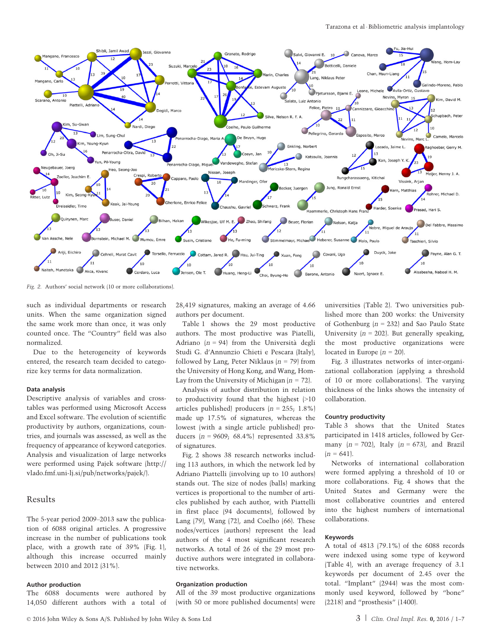

Fig. 2. Authors' social network (10 or more collaborations).

such as individual departments or research units. When the same organization signed the same work more than once, it was only counted once. The "Country" field was also normalized.

Due to the heterogeneity of keywords entered, the research team decided to categorize key terms for data normalization.

#### Data analysis

Descriptive analysis of variables and crosstables was performed using Microsoft Access and Excel software. The evolution of scientific productivity by authors, organizations, countries, and journals was assessed, as well as the frequency of appearance of keyword categories. Analysis and visualization of large networks were performed using Pajek software [\(http://](http://vlado.fmf.uni-lj.si/pub/networks/pajek/) [vlado.fmf.uni-lj.si/pub/networks/pajek/\)](http://vlado.fmf.uni-lj.si/pub/networks/pajek/).

# Results

The 5-year period 2009–2013 saw the publication of 6088 original articles. A progressive increase in the number of publications took place, with a growth rate of 39% (Fig. 1), although this increase occurred mainly between 2010 and 2012 (31%).

#### Author production

The 6088 documents were authored by 14,050 different authors with a total of 28,419 signatures, making an average of 4.66 authors per document.

Table 1 shows the 29 most productive authors. The most productive was Piatelli, Adriano  $(n = 94)$  from the Università degli Studi G. d'Annunzio Chieti e Pescara (Italy), followed by Lang, Peter Niklaus  $(n = 79)$  from the University of Hong Kong, and Wang, Hom-Lay from the University of Michigan  $(n = 72)$ .

Analysis of author distribution in relation to productivity found that the highest (>10 articles published) producers  $(n = 255; 1.8\%)$ made up 17.5% of signatures, whereas the lowest (with a single article published) producers  $(n = 9609, 68.4\%)$  represented 33.8% of signatures.

Fig. 2 shows 38 research networks including 113 authors, in which the network led by Adriano Piattelli (involving up to 10 authors) stands out. The size of nodes (balls) marking vertices is proportional to the number of articles published by each author, with Piattelli in first place (94 documents), followed by Lang (79), Wang (72), and Coelho (66). These nodes/vertices (authors) represent the lead authors of the 4 most significant research networks. A total of 26 of the 29 most productive authors were integrated in collaborative networks.

## Organization production

All of the 39 most productive organizations (with 50 or more published documents) were universities (Table 2). Two universities published more than 200 works: the University of Gothenburg  $(n = 232)$  and Sao Paulo State University  $(n = 202)$ . But generally speaking, the most productive organizations were located in Europe  $(n = 20)$ .

Fig. 3 illustrates networks of inter-organizational collaboration (applying a threshold of 10 or more collaborations). The varying thickness of the links shows the intensity of collaboration.

#### Country productivity

Table 3 shows that the United States participated in 1418 articles, followed by Germany  $(n = 702)$ , Italy  $(n = 673)$ , and Brazil  $(n = 641)$ .

Networks of international collaboration were formed applying a threshold of 10 or more collaborations. Fig. 4 shows that the United States and Germany were the most collaborative countries and entered into the highest numbers of international collaborations.

## Keywords

A total of 4813 (79.1%) of the 6088 records were indexed using some type of keyword (Table 4), with an average frequency of 3.1 keywords per document of 2.45 over the total. "Implant" (2944) was the most commonly used keyword, followed by "bone" (2218) and "prosthesis" (1400).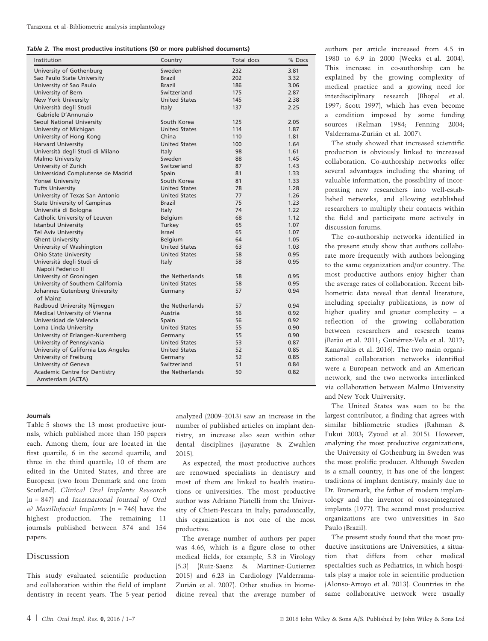|  |  |  |  |  |  |  | Table 2. The most productive institutions (50 or more published documents) |
|--|--|--|--|--|--|--|----------------------------------------------------------------------------|
|--|--|--|--|--|--|--|----------------------------------------------------------------------------|

| Institution                               | Country              | Total docs | % Docs |
|-------------------------------------------|----------------------|------------|--------|
| University of Gothenburg                  | Sweden               | 232        | 3.81   |
| Sao Paulo State University                | Brazil               | 202        | 3.32   |
| University of Sao Paulo                   | <b>Brazil</b>        | 186        | 3.06   |
| University of Bern                        | Switzerland          | 175        | 2.87   |
| New York University                       | <b>United States</b> | 145        | 2.38   |
| Università degli Studi                    | Italy                | 137        | 2.25   |
| Gabriele D'Annunzio                       |                      |            |        |
| Seoul National University                 | South Korea          | 125        | 2.05   |
| University of Michigan                    | <b>United States</b> | 114        | 1.87   |
| University of Hong Kong                   | China                | 110        | 1.81   |
| <b>Harvard University</b>                 | <b>United States</b> | 100        | 1.64   |
| Università degli Studi di Milano          | Italy                | 98         | 1.61   |
| Malmo University                          | Sweden               | 88         | 1.45   |
| University of Zurich                      | Switzerland          | 87         | 1.43   |
| Universidad Complutense de Madrid         | Spain                | 81         | 1.33   |
| Yonsei University                         | South Korea          | 81         | 1.33   |
| <b>Tufts University</b>                   | <b>United States</b> | 78         | 1.28   |
| University of Texas San Antonio           | <b>United States</b> | 77         | 1.26   |
| <b>State University of Campinas</b>       | <b>Brazil</b>        | 75         | 1.23   |
| Università di Bologna                     | Italy                | 74         | 1.22   |
| Catholic University of Leuven             | Belgium              | 68         | 1.12   |
| <b>Istanbul University</b>                | Turkey               | 65         | 1.07   |
| Tel Aviv University                       | Israel               | 65         | 1.07   |
| <b>Ghent University</b>                   | Belgium              | 64         | 1.05   |
| University of Washington                  | <b>United States</b> | 63         | 1.03   |
| Ohio State University                     | <b>United States</b> | 58         | 0.95   |
| Università degli Studi di                 | Italy                | 58         | 0.95   |
| Napoli Federico II                        |                      |            |        |
| University of Groningen                   | the Netherlands      | 58         | 0.95   |
| University of Southern California         | <b>United States</b> | 58         | 0.95   |
| Johannes Gutenberg University<br>of Mainz | Germany              | 57         | 0.94   |
| Radboud University Nijmegen               | the Netherlands      | 57         | 0.94   |
| Medical University of Vienna              | Austria              | 56         | 0.92   |
| Universidad de Valencia                   | Spain                | 56         | 0.92   |
| Loma Linda University                     | <b>United States</b> | 55         | 0.90   |
| University of Erlangen-Nuremberg          | Germany              | 55         | 0.90   |
| University of Pennsylvania                | <b>United States</b> | 53         | 0.87   |
| University of California Los Angeles      | <b>United States</b> | 52         | 0.85   |
| University of Freiburg                    | Germany              | 52         | 0.85   |
| University of Geneva                      | Switzerland          | 51         | 0.84   |
| Academic Centre for Dentistry             | the Netherlands      | 50         | 0.82   |
| Amsterdam (ACTA)                          |                      |            |        |

#### Journals

Table 5 shows the 13 most productive journals, which published more than 150 papers each. Among them, four are located in the first quartile, 6 in the second quartile, and three in the third quartile; 10 of them are edited in the United States, and three are European (two from Denmark and one from Scotland). Clinical Oral Implants Research  $(n = 847)$  and International Journal of Oral  $\omega$  Maxillofacial Implants (n = 746) have the highest production. The remaining 11 journals published between 374 and 154 papers.

# Discussion

This study evaluated scientific production and collaboration within the field of implant dentistry in recent years. The 5-year period

analyzed (2009–2013) saw an increase in the number of published articles on implant dentistry, an increase also seen within other dental disciplines (Jayaratne & Zwahlen 2015).

As expected, the most productive authors are renowned specialists in dentistry and most of them are linked to health institutions or universities. The most productive author was Adriano Piatelli from the University of Chieti-Pescara in Italy; paradoxically, this organization is not one of the most productive.

The average number of authors per paper was 4.66, which is a figure close to other medical fields, for example, 5.3 in Virology (5.3) (Ruiz-Saenz & Martinez-Gutierrez 2015) and 6.23 in Cardiology (Valderrama-Zurián et al. 2007). Other studies in biomedicine reveal that the average number of

authors per article increased from 4.5 in 1980 to 6.9 in 2000 (Weeks et al. 2004). This increase in co-authorship can be explained by the growing complexity of medical practice and a growing need for interdisciplinary research (Bhopal et al. 1997; Scott 1997), which has even become a condition imposed by some funding sources (Relman 1984; Fenning 2004; Valderrama-Zurián et al. 2007).

The study showed that increased scientific production is obviously linked to increased collaboration. Co-authorship networks offer several advantages including the sharing of valuable information, the possibility of incorporating new researchers into well-established networks, and allowing established researchers to multiply their contacts within the field and participate more actively in discussion forums.

The co-authorship networks identified in the present study show that authors collaborate more frequently with authors belonging to the same organization and/or country. The most productive authors enjoy higher than the average rates of collaboration. Recent bibliometric data reveal that dental literature, including specialty publications, is now of higher quality and greater complexity – a reflection of the growing collaboration between researchers and research teams (Barão et al. 2011; Gutiérrez-Vela et al. 2012; Kanavakis et al. 2016). The two main organizational collaboration networks identified were a European network and an American network, and the two networks interlinked via collaboration between Malmo University and New York University.

The United States was seen to be the largest contributor, a finding that agrees with similar bibliometric studies (Rahman & Fukui 2003; Zyoud et al. 2015). However, analyzing the most productive organizations, the University of Gothenburg in Sweden was the most prolific producer. Although Sweden is a small country, it has one of the longest traditions of implant dentistry, mainly due to Dr. Branemark, the father of modern implantology and the inventor of osseointegrated implants (1977). The second most productive organizations are two universities in Sao Paulo (Brazil).

The present study found that the most productive institutions are Universities, a situation that differs from other medical specialties such as Pediatrics, in which hospitals play a major role in scientific production (Alonso-Arroyo et al. 2013). Countries in the same collaborative network were usually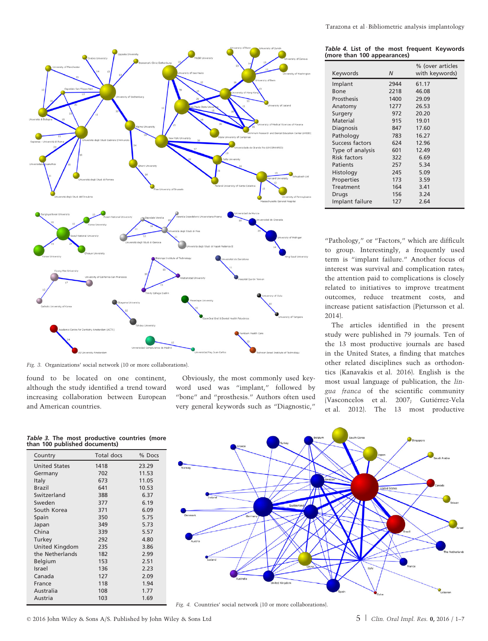

Fig. 3. Organizations' social network (10 or more collaborations).

found to be located on one continent, although the study identified a trend toward increasing collaboration between European and American countries.

Obviously, the most commonly used keyword used was "implant," followed by "bone" and "prosthesis." Authors often used very general keywords such as "Diagnostic,"

Table 4. List of the most frequent Keywords (more than 100 appearances)

| Keywords            | N    | % (over articles<br>with keywords) |
|---------------------|------|------------------------------------|
| Implant             | 2944 | 61.17                              |
| Bone                | 2218 | 46.08                              |
| Prosthesis          | 1400 | 29.09                              |
| Anatomy             | 1277 | 26.53                              |
| Surgery             | 972  | 20.20                              |
| Material            | 915  | 19.01                              |
| Diagnosis           | 847  | 17.60                              |
| Pathology           | 783  | 16.27                              |
| Success factors     | 624  | 12.96                              |
| Type of analysis    | 601  | 12.49                              |
| <b>Risk factors</b> | 322  | 6.69                               |
| Patients            | 257  | 5.34                               |
| Histology           | 245  | 5.09                               |
| Properties          | 173  | 3.59                               |
| Treatment           | 164  | 3.41                               |
| Drugs               | 156  | 3.24                               |
| Implant failure     | 127  | 2.64                               |

"Pathology," or "Factors," which are difficult to group. Interestingly, a frequently used term is "implant failure." Another focus of interest was survival and complication rates; the attention paid to complications is closely related to initiatives to improve treatment outcomes, reduce treatment costs, and increase patient satisfaction (Pjetursson et al. 2014).

The articles identified in the present study were published in 79 journals. Ten of the 13 most productive journals are based in the United States, a finding that matches other related disciplines such as orthodontics (Kanavakis et al. 2016). English is the most usual language of publication, the lingua franca of the scientific community (Vasconcelos et al. 2007; Gutiérrez-Vela et al. 2012). The 13 most productive

| Table 3. The most productive countries (more<br>than 100 published documents) |  |  |
|-------------------------------------------------------------------------------|--|--|
|                                                                               |  |  |

| Country              | Total docs | % Docs |
|----------------------|------------|--------|
| <b>United States</b> | 1418       | 23.29  |
| Germany              | 702        | 11.53  |
| Italy                | 673        | 11.05  |
| <b>Brazil</b>        | 641        | 10.53  |
| Switzerland          | 388        | 6.37   |
| Sweden               | 377        | 6.19   |
| South Korea          | 371        | 6.09   |
| Spain                | 350        | 5.75   |
| Japan                | 349        | 5.73   |
| China                | 339        | 5.57   |
| Turkey               | 292        | 4.80   |
| United Kingdom       | 235        | 3.86   |
| the Netherlands      | 182        | 2.99   |
| Belgium              | 153        | 2.51   |
| Israel               | 136        | 2.23   |
| Canada               | 127        | 2.09   |
| France               | 118        | 1.94   |
| Australia            | 108        | 1.77   |
| Austria              | 103        | 1.69   |



Fig. 4. Countries' social network (10 or more collaborations).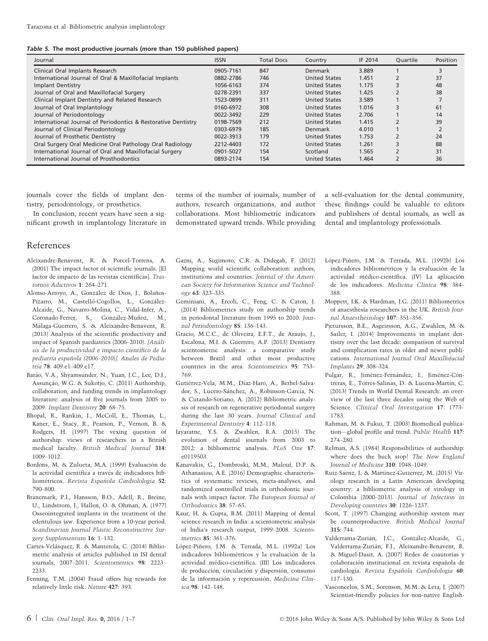Table 5. The most productive journals (more than 150 published papers)

| Journal                                                       | <b>ISSN</b> | <b>Total Docs</b> | Country              | IF 2014 | Ouartile | Position |
|---------------------------------------------------------------|-------------|-------------------|----------------------|---------|----------|----------|
| Clinical Oral Implants Research                               | 0905-7161   | 847               | Denmark              | 3.889   |          |          |
| International Journal of Oral & Maxillofacial Implants        | 0882-2786   | 746               | <b>United States</b> | 1.451   |          | 37       |
| <b>Implant Dentistry</b>                                      | 1056-6163   | 374               | <b>United States</b> | 1.175   |          | 48       |
| Journal of Oral and Maxillofacial Surgery                     | 0278-2391   | 337               | <b>United States</b> | 1.425   |          | 38       |
| Clinical Implant Dentistry and Related Research               | 1523-0899   | 311               | <b>United States</b> | 3.589   |          |          |
| Journal of Oral Implantology                                  | 0160-6972   | 308               | <b>United States</b> | 1.016   |          | 61       |
| Journal of Periodontology                                     | 0022-3492   | 229               | <b>United States</b> | 2.706   |          | 14       |
| International Journal of Periodontics & Restorative Dentistry | 0198-7569   | 212               | <b>United States</b> | 1.415   |          | 39       |
| Journal of Clinical Periodontology                            | 0303-6979   | 185               | Denmark              | 4.010   |          |          |
| Journal of Prosthetic Dentistry                               | 0022-3913   | 179               | <b>United States</b> | 1.753   |          | 24       |
| Oral Surgery Oral Medicine Oral Pathology Oral Radiology      | 2212-4403   | 172               | <b>United States</b> | 1.261   |          | 88       |
| International Journal of Oral and Maxillofacial Surgery       | 0901-5027   | 154               | Scotland             | 1.565   |          | 31       |
| International Journal of Prosthodontics                       | 0893-2174   | 154               | <b>United States</b> | 1.464   |          | 36       |

journals cover the fields of implant dentistry, periodontology, or prosthetics.

In conclusion, recent years have seen a significant growth in implantology literature in terms of the number of journals, number of authors, research organizations, and author collaborations. Most bibliometric indicators demonstrated upward trends. While providing a self-evaluation for the dental community, these findings could be valuable to editors and publishers of dental journals, as well as dental and implantology professionals.

# References

- Aleixandre-Benavent, R. & Porcel-Torrens, A. (2001) The impact factor of scientific journals. [El factor de impacto de las revistas científicas]. Trastornos Adictivos 1: 264–271.
- Alonso-Arroyo, A., González de Dios, J., Bolaños-Pizarro, M., Castelló-Cogollos, L., González-Alcaide, G., Navarro-Molina, C., Vidal-Infer, A., Coronado-Ferrer, S., González-Muñoz, M., Málaga-Guerrero, S. & Aleixandre-Benavent, R. (2013) Analysis of the scientific productivity and impact of Spanish paediatrics (2006–2010). [Análisis de la productividad e impacto científico de la pediatría española (2006-2010)]. Anales de Pediatria 78: 409.e1–409.e17.
- Barão, V.A., Shyamsunder, N., Yuan, J.C., Lee, D.J., Assuncão, W.G. & Sukotio, C. (2011) Authorship, collaboration, and funding trends in implantology literature: analysis of five journals from 2005 to 2009. Implant Dentistry 20: 68–75.
- Bhopal, R., Rankin, J., McColl, E., Thomas, L., Kaner, E., Stacy, R., Pearson, P., Vernon, B. & Rodgers, H. (1997) The vexing question of authorship: views of researchers in a British medical faculty. British Medical Journal 314: 1009–1012.
- Bordons, M. & Zulueta, M.A. (1999) Evaluación de la actividad científica a través de indicadores bibliométricos. Revista Española Cardiolologia 52: 790–800.
- Brånemark, P.I., Hansson, B.O., Adell, R., Breine, U., Lindstrom, J., Hallen, O. & Ohman, A. (1977) Osseointegrated implants in the treatment of the edentulous jaw. Experience from a 10-year period. Scandinavian Journal Plastic Reconstructive Surgery Supplementum 16: 1–132.
- Cartes-Velásquez, R. & Manterola, C. (2014) Bibliometric analysis of articles published in ISI dental journals, 2007–2011. Scientometrics 98: 2223– 2233.
- Fenning, T.M. (2004) Fraud offers big rewards for relatively little risk. Nature 427: 393.
- Gazni, A., Sugimoto, C.R. & Didegah, F. (2012) Mapping world scientific collaboration: authors, institutions and countries. Journal of the American Society for Information Science and Technology 63: 323–335.
- Geminiani, A., Ercoli, C., Feng, C. & Caton, J. (2014) Bibliometrics study on authorship trends in periodontal literature from 1995 to 2010. Journal Periodontology 85: 136–143.
- Gracio, M.C.C., de Oliveira, E.F.T., de Araujo, J., Escalona, M.I. & Guerrero, A.P. (2013) Dentistry scientometric analysis: a comparative study between Brazil and other most productive countries in the area. Scientometrics 95: 753– 769.
- Gutiérrez-Vela, M.M., Díaz-Haro, A., Berbel-Salvador, S., Lucero-Sánchez, A., Robinson-García, N. & Cutando-Soriano, A. (2012) Bibliometric analysis of research on regenerative periodontal surgery during the last 30 years. Journal Clinical and Experimental Dentistry 4: 112–118.
- Jayaratne, Y.S. & Zwahlen, R.A. (2015) The evolution of dental journals from 2003 to 2012: a bibliometric analysis. PLoS One 17: e0119503.
- Kanavakis, G., Dombroski, M.M., Malouf, D.P. & Athanasiou, A.E. (2016) Demographic characteristics of systematic reviews, meta-analyses, and randomized controlled trials in orthodontic journals with impact factor. The European Journal of Orthodontics 38: 57–65.
- Kaur, H. & Gupta, B.M. (2011) Mapping of dental science research in India: a scientometric analysis of India's research output, 1999–2008. Scientometrics 85: 361–376.
- López-Piñero, J.M. & Terrada, M.L. (1992a) Los indicadores bibliométricos y la evaluación de la actividad médico-científica. (III) Los indicadores de producción, circulación y dispersión, consumo de la información y repercusión. Medicina Clinica 98: 142–148.
- López-Piñero, J.M. & Terrada, M.L. (1992b) Los indicadores bibliométricos y la evaluación de la actividad médico-científica. (IV) La aplicación de los indicadores. Medicina Clinica 98: 384– 388.
- Moppett, I.K. & Hardman, J.G. (2011) Bibliometrics of anaesthesia researchers in the UK. British Journal Anaesthesiology 107: 351–356.
- Pjetursson, B.E., Asgeirsson, A.G., Zwahlen, M. & Sailer, I. (2014) Improvements in implant dentistry over the last decade: comparison of survival and complication rates in older and newer publications. International Journal Oral Maxillofacial Implants 29: 308–324.
- Pulgar, R., Jiménez-Fernández, I., Jiménez-Contreras, E., Torres-Salinas, D. & Lucena-Martín, C. (2013) Trends in World Dental Research: an overview of the last three decades using the Web of Science. Clinical Oral Investigation 17: 1773– 1783.
- Rahman, M. & Fukui, T. (2003) Biomedical publication—global profile and trend. Public Health 117: 274–280.
- Relman, A.S. (1984) Responsibilities of authorship: where does the buck stop? The New England Journal of Medicine 310: 1048–1049.
- Ruiz-Saenz, J. & Martinez-Gutierrez, M. (2015) Virology research in a Latin American developing country: a bibliometric analysis of virology in Colombia (2000–2013). Journal of Infection in Developing countries 30: 1226–1237.
- Scott, T. (1997) Changing authorship system may be counterproductive. British Medical Journal 315: 744.
- Valderrama-Zurián, J.C., González-Alcaide, G., Valderrama-Zurián, F.J., Aleixandre-Benavent, R. & Miguel-Dasit, A. (2007) Redes de coautorías y colaboración institucional en revista española de cardiología. Revista Española Cardiolologia 60: 117–130.
- Vasconcelos, S.M., Sorenson, M.M. & Leta, J. (2007) Scientist-friendly policies for non-native English-